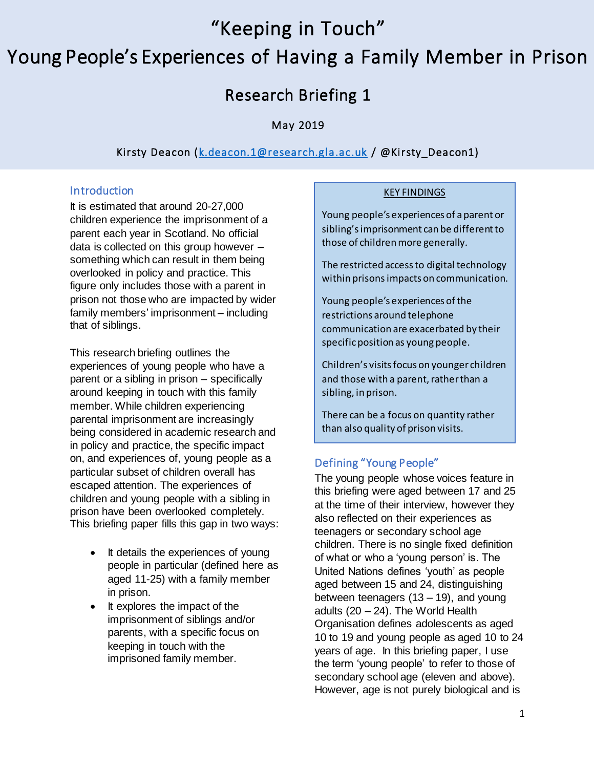"Keeping in Touch"

# Young People's Experiences of Having a Family Member in Prison

# Research Briefing 1

# May 2019

# Kirsty Deacon (k.[deacon.1@research.gla.ac.u](mailto:k.deacon.1@research.gla.ac.uk)k / @Kirsty\_Deacon1)

### **Introduction**

It is estimated that around 20-27,000 children experience the imprisonment of a parent each year in Scotland. No official data is collected on this group however – something which can result in them being overlooked in policy and practice. This figure only includes those with a parent in prison not those who are impacted by wider family members' imprisonment – including that of siblings.

This research briefing outlines the experiences of young people who have a parent or a sibling in prison – specifically around keeping in touch with this family member. While children experiencing parental imprisonment are increasingly being considered in academic research and in policy and practice, the specific impact on, and experiences of, young people as a particular subset of children overall has escaped attention. The experiences of children and young people with a sibling in prison have been overlooked completely. This briefing paper fills this gap in two ways:

- It details the experiences of young people in particular (defined here as aged 11-25) with a family member in prison.
- It explores the impact of the imprisonment of siblings and/or parents, with a specific focus on keeping in touch with the imprisoned family member.

#### KEY FINDINGS

Young people's experiences of a parent or sibling's imprisonment can be different to those of children more generally.

The restricted access to digital technology within prisons impacts on communication.

Young people's experiences of the restrictions around telephone communication are exacerbated by their specific position as young people.

Children's visits focus on younger children and those with a parent, rather than a sibling, in prison.

There can be a focus on quantity rather than also quality of prison visits.

# Defining "Young People"

The young people whose voices feature in this briefing were aged between 17 and 25 at the time of their interview, however they also reflected on their experiences as teenagers or secondary school age children. There is no single fixed definition of what or who a 'young person' is. The United Nations defines 'youth' as people aged between 15 and 24, distinguishing between teenagers  $(13 - 19)$ , and young adults  $(20 - 24)$ . The World Health Organisation defines adolescents as aged 10 to 19 and young people as aged 10 to 24 years of age. In this briefing paper, I use the term 'young people' to refer to those of secondary school age (eleven and above). However, age is not purely biological and is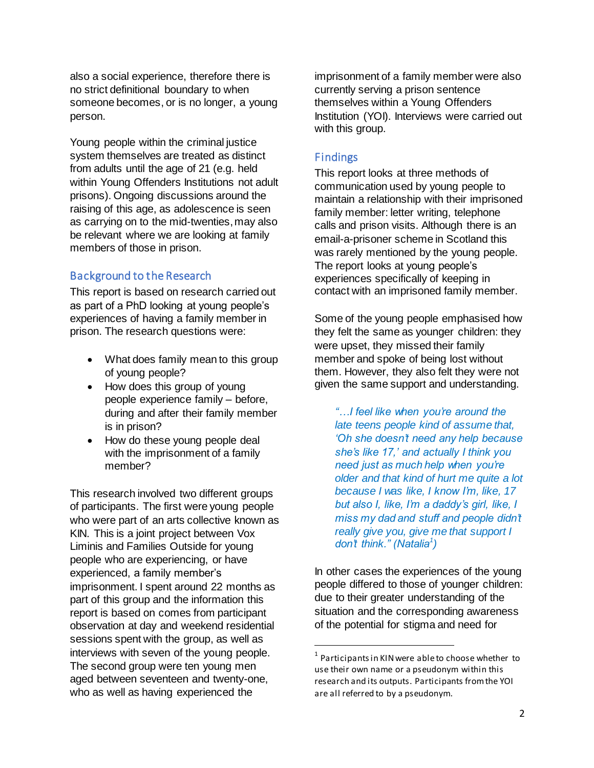also a social experience, therefore there is no strict definitional boundary to when someone becomes, or is no longer, a young person.

Young people within the criminal justice system themselves are treated as distinct from adults until the age of 21 (e.g. held within Young Offenders Institutions not adult prisons). Ongoing discussions around the raising of this age, as adolescence is seen as carrying on to the mid-twenties,may also be relevant where we are looking at family members of those in prison.

#### Background to the Research

This report is based on research carried out as part of a PhD looking at young people's experiences of having a family member in prison. The research questions were:

- What does family mean to this group of young people?
- How does this group of young people experience family – before, during and after their family member is in prison?
- How do these young people deal with the imprisonment of a family member?

This research involved two different groups of participants. The first were young people who were part of an arts collective known as KIN. This is a joint project between Vox Liminis and Families Outside for young people who are experiencing, or have experienced, a family member's imprisonment. I spent around 22 months as part of this group and the information this report is based on comes from participant observation at day and weekend residential sessions spent with the group, as well as interviews with seven of the young people. The second group were ten young men aged between seventeen and twenty-one, who as well as having experienced the

imprisonment of a family member were also currently serving a prison sentence themselves within a Young Offenders Institution (YOI). Interviews were carried out with this group.

#### Findings

This report looks at three methods of communication used by young people to maintain a relationship with their imprisoned family member: letter writing, telephone calls and prison visits. Although there is an email-a-prisoner scheme in Scotland this was rarely mentioned by the young people. The report looks at young people's experiences specifically of keeping in contact with an imprisoned family member.

Some of the young people emphasised how they felt the same as younger children: they were upset, they missed their family member and spoke of being lost without them. However, they also felt they were not given the same support and understanding.

*"…I feel like when you're around the late teens people kind of assume that, 'Oh she doesn't need any help because she's like 17,' and actually I think you need just as much help when you're older and that kind of hurt me quite a lot because I was like, I know I'm, like, 17 but also I, like, I'm a daddy's girl, like, I miss my dad and stuff and people didn't really give you, give me that support I don't think." (Natalia<sup>1</sup> )*

In other cases the experiences of the young people differed to those of younger children: due to their greater understanding of the situation and the corresponding awareness of the potential for stigma and need for

 $\overline{a}$ 

 $1$  Participants in KIN were able to choose whether to use their own name or a pseudonym within this research and its outputs. Participants from the YOI are all referred to by a pseudonym.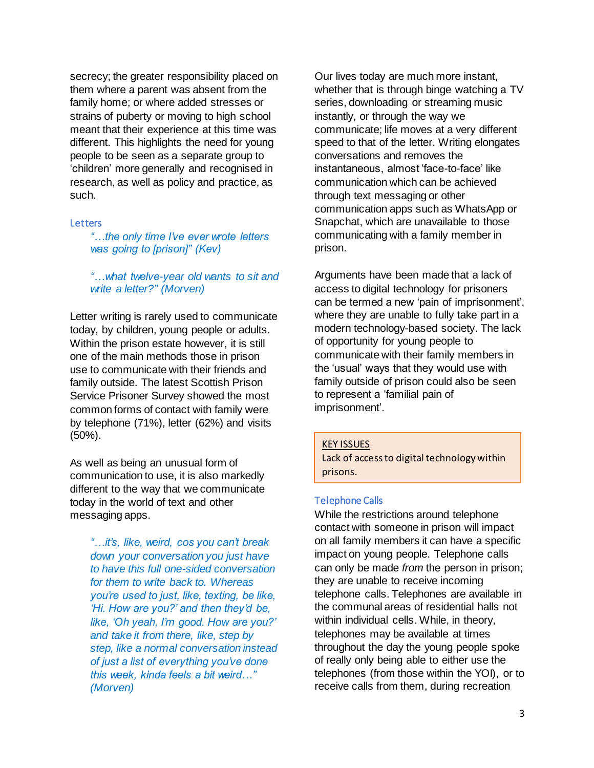secrecy; the greater responsibility placed on them where a parent was absent from the family home; or where added stresses or strains of puberty or moving to high school meant that their experience at this time was different. This highlights the need for young people to be seen as a separate group to 'children' more generally and recognised in research, as well as policy and practice, as such.

#### **Letters**

*"…the only time I've ever wrote letters was going to [prison]" (Kev)*

#### *"…what twelve-year old wants to sit and write a letter?" (Morven)*

Letter writing is rarely used to communicate today, by children, young people or adults. Within the prison estate however, it is still one of the main methods those in prison use to communicate with their friends and family outside. The latest Scottish Prison Service Prisoner Survey showed the most common forms of contact with family were by telephone (71%), letter (62%) and visits (50%).

As well as being an unusual form of communication to use, it is also markedly different to the way that we communicate today in the world of text and other messaging apps.

> *"…it's, like, weird, cos you can't break down your conversation you just have to have this full one-sided conversation for them to write back to. Whereas you're used to just, like, texting, be like, 'Hi. How are you?' and then they'd be, like, 'Oh yeah, I'm good. How are you?' and take it from there, like, step by step, like a normal conversation instead of just a list of everything you've done this week, kinda feels a bit weird…" (Morven)*

Our lives today are much more instant, whether that is through binge watching a TV series, downloading or streaming music instantly, or through the way we communicate; life moves at a very different speed to that of the letter. Writing elongates conversations and removes the instantaneous, almost 'face-to-face' like communication which can be achieved through text messaging or other communication apps such as WhatsApp or Snapchat, which are unavailable to those communicating with a family member in prison.

Arguments have been made that a lack of access to digital technology for prisoners can be termed a new 'pain of imprisonment', where they are unable to fully take part in a modern technology-based society. The lack of opportunity for young people to communicate with their family members in the 'usual' ways that they would use with family outside of prison could also be seen to represent a 'familial pain of imprisonment'.

#### KEY ISSUES

Lack of access to digital technology within prisons.

#### Telephone Calls

While the restrictions around telephone contact with someone in prison will impact on all family members it can have a specific impact on young people. Telephone calls can only be made *from* the person in prison; they are unable to receive incoming telephone calls. Telephones are available in the communal areas of residential halls not within individual cells. While, in theory, telephones may be available at times throughout the day the young people spoke of really only being able to either use the telephones (from those within the YOI), or to receive calls from them, during recreation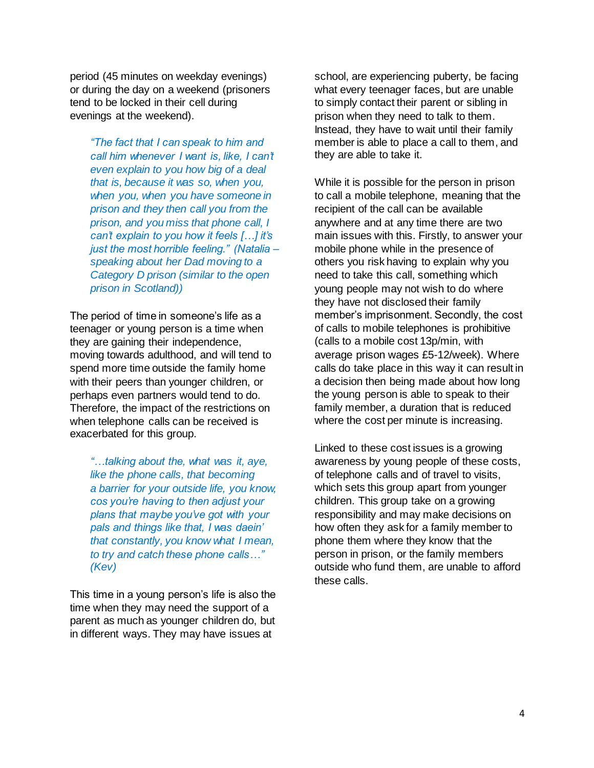period (45 minutes on weekday evenings) or during the day on a weekend (prisoners tend to be locked in their cell during evenings at the weekend).

*"The fact that I can speak to him and call him whenever I want is, like, I can't even explain to you how big of a deal that is, because it was so, when you, when you, when you have someone in prison and they then call you from the prison, and you miss that phone call, I can't explain to you how it feels […] it's just the most horrible feeling." (Natalia – speaking about her Dad moving to a Category D prison (similar to the open prison in Scotland))*

The period of time in someone's life as a teenager or young person is a time when they are gaining their independence, moving towards adulthood, and will tend to spend more time outside the family home with their peers than younger children, or perhaps even partners would tend to do. Therefore, the impact of the restrictions on when telephone calls can be received is exacerbated for this group.

*"…talking about the, what was it, aye, like the phone calls, that becoming a barrier for your outside life, you know, cos you're having to then adjust your plans that maybe you've got with your pals and things like that, I was daein' that constantly, you know what I mean, to try and catch these phone calls…" (Kev)*

This time in a young person's life is also the time when they may need the support of a parent as much as younger children do, but in different ways. They may have issues at

school, are experiencing puberty, be facing what every teenager faces, but are unable to simply contact their parent or sibling in prison when they need to talk to them. Instead, they have to wait until their family member is able to place a call to them, and they are able to take it.

While it is possible for the person in prison to call a mobile telephone, meaning that the recipient of the call can be available anywhere and at any time there are two main issues with this. Firstly, to answer your mobile phone while in the presence of others you risk having to explain why you need to take this call, something which young people may not wish to do where they have not disclosed their family member's imprisonment. Secondly, the cost of calls to mobile telephones is prohibitive (calls to a mobile cost 13p/min, with average prison wages £5-12/week). Where calls do take place in this way it can result in a decision then being made about how long the young person is able to speak to their family member, a duration that is reduced where the cost per minute is increasing.

Linked to these cost issues is a growing awareness by young people of these costs, of telephone calls and of travel to visits, which sets this group apart from younger children. This group take on a growing responsibility and may make decisions on how often they ask for a family member to phone them where they know that the person in prison, or the family members outside who fund them, are unable to afford these calls.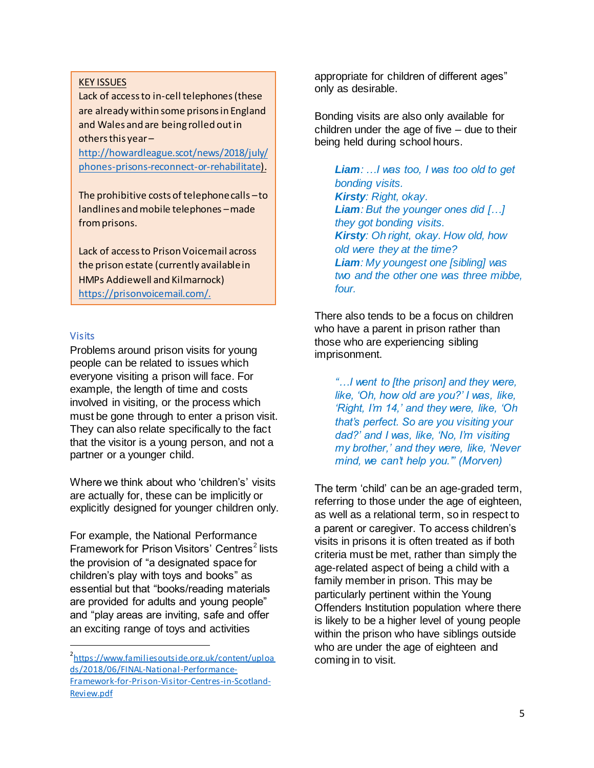#### KEY ISSUES

Lack of access to in-cell telephones (these are already within some prisons in England and Wales and are being rolled out in others this year –

[http://howardleague.scot/news/2018/july/](http://howardleague.scot/news/2018/july/phones-prisons-reconnect-or-rehabilitate) [phones-prisons-reconnect-or-rehabilitate\)](http://howardleague.scot/news/2018/july/phones-prisons-reconnect-or-rehabilitate).

The prohibitive costs of telephone calls –to landlines and mobile telephones –made from prisons.

Lack of access to Prison Voicemail across the prison estate (currently available in HMPs Addiewell and Kilmarnock) [https://prisonvoicemail.com/.](https://prisonvoicemail.com/)

#### Visits

 $\overline{a}$ 

Problems around prison visits for young people can be related to issues which everyone visiting a prison will face. For example, the length of time and costs involved in visiting, or the process which must be gone through to enter a prison visit. They can also relate specifically to the fact that the visitor is a young person, and not a partner or a younger child.

Where we think about who 'children's' visits are actually for, these can be implicitly or explicitly designed for younger children only.

For example, the National Performance Framework for Prison Visitors' Centres<sup>2</sup> lists the provision of "a designated space for children's play with toys and books" as essential but that "books/reading materials are provided for adults and young people" and "play areas are inviting, safe and offer an exciting range of toys and activities

appropriate for children of different ages" only as desirable.

Bonding visits are also only available for children under the age of five – due to their being held during school hours.

*Liam: …I was too, I was too old to get bonding visits. Kirsty: Right, okay. Liam: But the younger ones did […] they got bonding visits. Kirsty: Oh right, okay. How old, how old were they at the time? Liam: My youngest one [sibling] was two and the other one was three mibbe, four.*

There also tends to be a focus on children who have a parent in prison rather than those who are experiencing sibling imprisonment.

*"…I went to [the prison] and they were, like, 'Oh, how old are you?' I was, like, 'Right, I'm 14,' and they were, like, 'Oh that's perfect. So are you visiting your dad?' and I was, like, 'No, I'm visiting my brother,' and they were, like, 'Never mind, we can't help you.'" (Morven)*

The term 'child' can be an age-graded term, referring to those under the age of eighteen, as well as a relational term, so in respect to a parent or caregiver. To access children's visits in prisons it is often treated as if both criteria must be met, rather than simply the age-related aspect of being a child with a family member in prison. This may be particularly pertinent within the Young Offenders Institution population where there is likely to be a higher level of young people within the prison who have siblings outside who are under the age of eighteen and coming in to visit.

<sup>2</sup> [https://www.familiesoutside.org.uk/content/uploa](https://www.familiesoutside.org.uk/content/uploads/2018/06/FINAL-National-Performance-Framework-for-Prison-Visitor-Centres-in-Scotland-Review.pdf) [ds/2018/06/FINAL-National-Performance-](https://www.familiesoutside.org.uk/content/uploads/2018/06/FINAL-National-Performance-Framework-for-Prison-Visitor-Centres-in-Scotland-Review.pdf)[Framework-for-Prison-Visitor-Centres-in-Scotland-](https://www.familiesoutside.org.uk/content/uploads/2018/06/FINAL-National-Performance-Framework-for-Prison-Visitor-Centres-in-Scotland-Review.pdf)[Review.pdf](https://www.familiesoutside.org.uk/content/uploads/2018/06/FINAL-National-Performance-Framework-for-Prison-Visitor-Centres-in-Scotland-Review.pdf)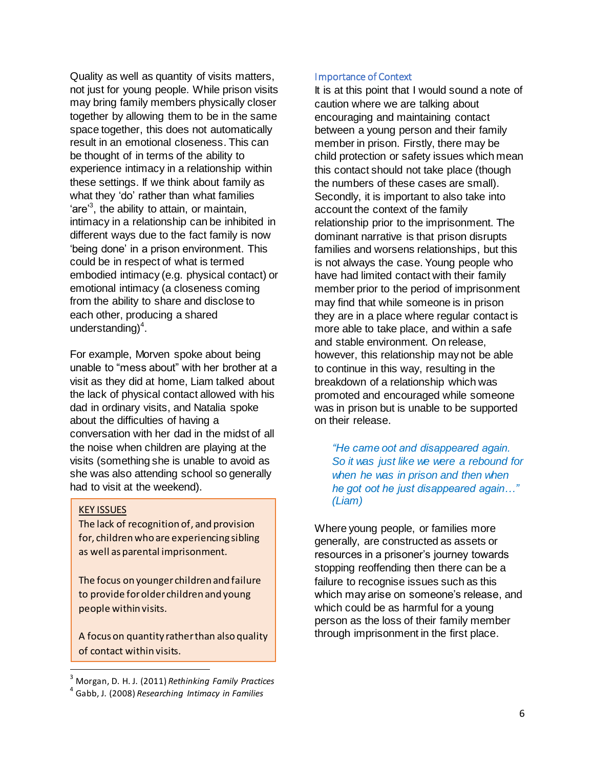Quality as well as quantity of visits matters, not just for young people. While prison visits may bring family members physically closer together by allowing them to be in the same space together, this does not automatically result in an emotional closeness. This can be thought of in terms of the ability to experience intimacy in a relationship within these settings. If we think about family as what they 'do' rather than what families 'are<sup>3</sup>, the ability to attain, or maintain, intimacy in a relationship can be inhibited in different ways due to the fact family is now 'being done' in a prison environment. This could be in respect of what is termed embodied intimacy (e.g. physical contact) or emotional intimacy (a closeness coming from the ability to share and disclose to each other, producing a shared understanding $)^4$ .

For example, Morven spoke about being unable to "mess about" with her brother at a visit as they did at home, Liam talked about the lack of physical contact allowed with his dad in ordinary visits, and Natalia spoke about the difficulties of having a conversation with her dad in the midst of all the noise when children are playing at the visits (something she is unable to avoid as she was also attending school so generally had to visit at the weekend).

#### KEY ISSUES

 $\overline{a}$ 

The lack of recognition of, and provision for, children who are experiencing sibling as well as parental imprisonment.

The focus on younger children and failure to provide for older children and young people within visits.

A focus on quantity rather than also quality of contact within visits.

#### Importance of Context

It is at this point that I would sound a note of caution where we are talking about encouraging and maintaining contact between a young person and their family member in prison. Firstly, there may be child protection or safety issues which mean this contact should not take place (though the numbers of these cases are small). Secondly, it is important to also take into account the context of the family relationship prior to the imprisonment. The dominant narrative is that prison disrupts families and worsens relationships, but this is not always the case. Young people who have had limited contact with their family member prior to the period of imprisonment may find that while someone is in prison they are in a place where regular contact is more able to take place, and within a safe and stable environment. On release, however, this relationship may not be able to continue in this way, resulting in the breakdown of a relationship which was promoted and encouraged while someone was in prison but is unable to be supported on their release.

*"He came oot and disappeared again. So it was just like we were a rebound for when he was in prison and then when he got oot he just disappeared again…" (Liam)*

Where young people, or families more generally, are constructed as assets or resources in a prisoner's journey towards stopping reoffending then there can be a failure to recognise issues such as this which may arise on someone's release, and which could be as harmful for a young person as the loss of their family member through imprisonment in the first place.

<sup>3</sup> Morgan, D. H. J. (2011) *Rethinking Family Practices*

<sup>4</sup> Gabb, J. (2008) *Researching Intimacy in Families*